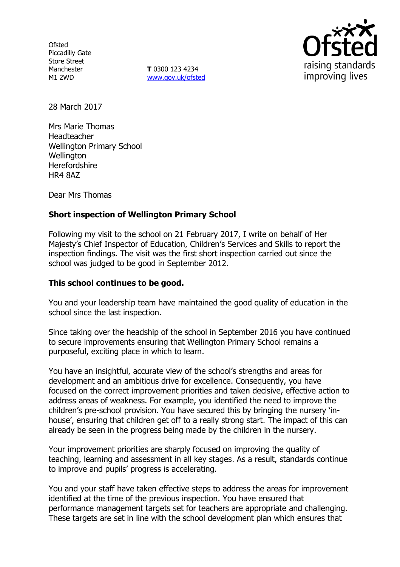**Ofsted** Piccadilly Gate Store Street Manchester M1 2WD

**T** 0300 123 4234 www.gov.uk/ofsted



28 March 2017

Mrs Marie Thomas Headteacher Wellington Primary School **Wellington Herefordshire** HR4 8AZ

Dear Mrs Thomas

## **Short inspection of Wellington Primary School**

Following my visit to the school on 21 February 2017, I write on behalf of Her Majesty's Chief Inspector of Education, Children's Services and Skills to report the inspection findings. The visit was the first short inspection carried out since the school was judged to be good in September 2012.

### **This school continues to be good.**

You and your leadership team have maintained the good quality of education in the school since the last inspection.

Since taking over the headship of the school in September 2016 you have continued to secure improvements ensuring that Wellington Primary School remains a purposeful, exciting place in which to learn.

You have an insightful, accurate view of the school's strengths and areas for development and an ambitious drive for excellence. Consequently, you have focused on the correct improvement priorities and taken decisive, effective action to address areas of weakness. For example, you identified the need to improve the children's pre-school provision. You have secured this by bringing the nursery 'inhouse', ensuring that children get off to a really strong start. The impact of this can already be seen in the progress being made by the children in the nursery.

Your improvement priorities are sharply focused on improving the quality of teaching, learning and assessment in all key stages. As a result, standards continue to improve and pupils' progress is accelerating.

You and your staff have taken effective steps to address the areas for improvement identified at the time of the previous inspection. You have ensured that performance management targets set for teachers are appropriate and challenging. These targets are set in line with the school development plan which ensures that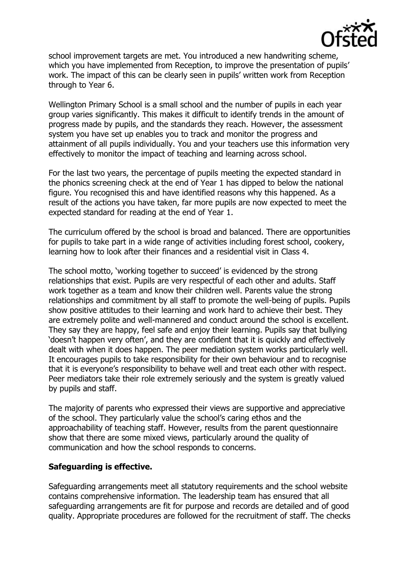

school improvement targets are met. You introduced a new handwriting scheme, which you have implemented from Reception, to improve the presentation of pupils' work. The impact of this can be clearly seen in pupils' written work from Reception through to Year 6.

Wellington Primary School is a small school and the number of pupils in each year group varies significantly. This makes it difficult to identify trends in the amount of progress made by pupils, and the standards they reach. However, the assessment system you have set up enables you to track and monitor the progress and attainment of all pupils individually. You and your teachers use this information very effectively to monitor the impact of teaching and learning across school.

For the last two years, the percentage of pupils meeting the expected standard in the phonics screening check at the end of Year 1 has dipped to below the national figure. You recognised this and have identified reasons why this happened. As a result of the actions you have taken, far more pupils are now expected to meet the expected standard for reading at the end of Year 1.

The curriculum offered by the school is broad and balanced. There are opportunities for pupils to take part in a wide range of activities including forest school, cookery, learning how to look after their finances and a residential visit in Class 4.

The school motto, 'working together to succeed' is evidenced by the strong relationships that exist. Pupils are very respectful of each other and adults. Staff work together as a team and know their children well. Parents value the strong relationships and commitment by all staff to promote the well-being of pupils. Pupils show positive attitudes to their learning and work hard to achieve their best. They are extremely polite and well-mannered and conduct around the school is excellent. They say they are happy, feel safe and enjoy their learning. Pupils say that bullying 'doesn't happen very often', and they are confident that it is quickly and effectively dealt with when it does happen. The peer mediation system works particularly well. It encourages pupils to take responsibility for their own behaviour and to recognise that it is everyone's responsibility to behave well and treat each other with respect. Peer mediators take their role extremely seriously and the system is greatly valued by pupils and staff.

The majority of parents who expressed their views are supportive and appreciative of the school. They particularly value the school's caring ethos and the approachability of teaching staff. However, results from the parent questionnaire show that there are some mixed views, particularly around the quality of communication and how the school responds to concerns.

## **Safeguarding is effective.**

Safeguarding arrangements meet all statutory requirements and the school website contains comprehensive information. The leadership team has ensured that all safeguarding arrangements are fit for purpose and records are detailed and of good quality. Appropriate procedures are followed for the recruitment of staff. The checks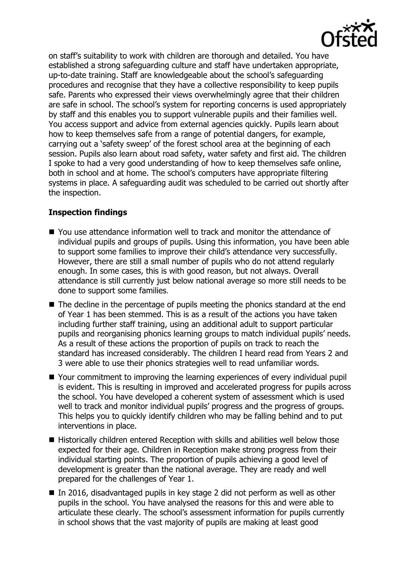

on staff's suitability to work with children are thorough and detailed. You have established a strong safeguarding culture and staff have undertaken appropriate, up-to-date training. Staff are knowledgeable about the school's safeguarding procedures and recognise that they have a collective responsibility to keep pupils safe. Parents who expressed their views overwhelmingly agree that their children are safe in school. The school's system for reporting concerns is used appropriately by staff and this enables you to support vulnerable pupils and their families well. You access support and advice from external agencies quickly. Pupils learn about how to keep themselves safe from a range of potential dangers, for example, carrying out a 'safety sweep' of the forest school area at the beginning of each session. Pupils also learn about road safety, water safety and first aid. The children I spoke to had a very good understanding of how to keep themselves safe online, both in school and at home. The school's computers have appropriate filtering systems in place. A safeguarding audit was scheduled to be carried out shortly after the inspection.

# **Inspection findings**

- You use attendance information well to track and monitor the attendance of individual pupils and groups of pupils. Using this information, you have been able to support some families to improve their child's attendance very successfully. However, there are still a small number of pupils who do not attend regularly enough. In some cases, this is with good reason, but not always. Overall attendance is still currently just below national average so more still needs to be done to support some families.
- $\blacksquare$  The decline in the percentage of pupils meeting the phonics standard at the end of Year 1 has been stemmed. This is as a result of the actions you have taken including further staff training, using an additional adult to support particular pupils and reorganising phonics learning groups to match individual pupils' needs. As a result of these actions the proportion of pupils on track to reach the standard has increased considerably. The children I heard read from Years 2 and 3 were able to use their phonics strategies well to read unfamiliar words.
- Your commitment to improving the learning experiences of every individual pupil is evident. This is resulting in improved and accelerated progress for pupils across the school. You have developed a coherent system of assessment which is used well to track and monitor individual pupils' progress and the progress of groups. This helps you to quickly identify children who may be falling behind and to put interventions in place.
- Historically children entered Reception with skills and abilities well below those expected for their age. Children in Reception make strong progress from their individual starting points. The proportion of pupils achieving a good level of development is greater than the national average. They are ready and well prepared for the challenges of Year 1.
- In 2016, disadvantaged pupils in key stage 2 did not perform as well as other pupils in the school. You have analysed the reasons for this and were able to articulate these clearly. The school's assessment information for pupils currently in school shows that the vast majority of pupils are making at least good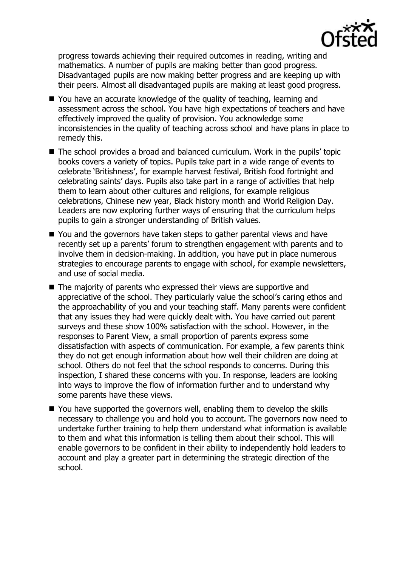

progress towards achieving their required outcomes in reading, writing and mathematics. A number of pupils are making better than good progress. Disadvantaged pupils are now making better progress and are keeping up with their peers. Almost all disadvantaged pupils are making at least good progress.

- You have an accurate knowledge of the quality of teaching, learning and assessment across the school. You have high expectations of teachers and have effectively improved the quality of provision. You acknowledge some inconsistencies in the quality of teaching across school and have plans in place to remedy this.
- The school provides a broad and balanced curriculum. Work in the pupils' topic books covers a variety of topics. Pupils take part in a wide range of events to celebrate 'Britishness', for example harvest festival, British food fortnight and celebrating saints' days. Pupils also take part in a range of activities that help them to learn about other cultures and religions, for example religious celebrations, Chinese new year, Black history month and World Religion Day. Leaders are now exploring further ways of ensuring that the curriculum helps pupils to gain a stronger understanding of British values.
- You and the governors have taken steps to gather parental views and have recently set up a parents' forum to strengthen engagement with parents and to involve them in decision-making. In addition, you have put in place numerous strategies to encourage parents to engage with school, for example newsletters, and use of social media.
- The majority of parents who expressed their views are supportive and appreciative of the school. They particularly value the school's caring ethos and the approachability of you and your teaching staff. Many parents were confident that any issues they had were quickly dealt with. You have carried out parent surveys and these show 100% satisfaction with the school. However, in the responses to Parent View, a small proportion of parents express some dissatisfaction with aspects of communication. For example, a few parents think they do not get enough information about how well their children are doing at school. Others do not feel that the school responds to concerns. During this inspection, I shared these concerns with you. In response, leaders are looking into ways to improve the flow of information further and to understand why some parents have these views.
- You have supported the governors well, enabling them to develop the skills necessary to challenge you and hold you to account. The governors now need to undertake further training to help them understand what information is available to them and what this information is telling them about their school. This will enable governors to be confident in their ability to independently hold leaders to account and play a greater part in determining the strategic direction of the school.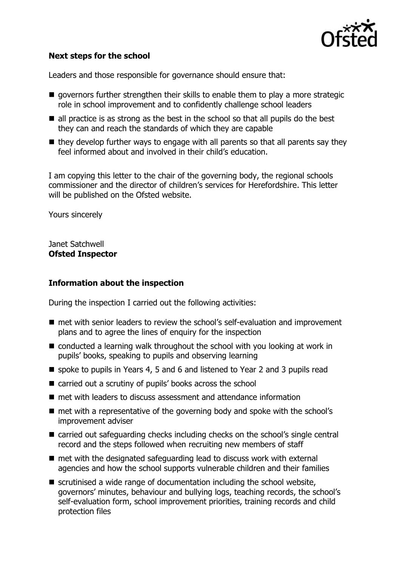

# **Next steps for the school**

Leaders and those responsible for governance should ensure that:

- $\blacksquare$  governors further strengthen their skills to enable them to play a more strategic role in school improvement and to confidently challenge school leaders
- $\blacksquare$  all practice is as strong as the best in the school so that all pupils do the best they can and reach the standards of which they are capable
- $\blacksquare$  they develop further ways to engage with all parents so that all parents say they feel informed about and involved in their child's education.

I am copying this letter to the chair of the governing body, the regional schools commissioner and the director of children's services for Herefordshire. This letter will be published on the Ofsted website.

Yours sincerely

Janet Satchwell **Ofsted Inspector**

#### **Information about the inspection**

During the inspection I carried out the following activities:

- met with senior leaders to review the school's self-evaluation and improvement plans and to agree the lines of enquiry for the inspection
- conducted a learning walk throughout the school with you looking at work in pupils' books, speaking to pupils and observing learning
- spoke to pupils in Years 4, 5 and 6 and listened to Year 2 and 3 pupils read
- carried out a scrutiny of pupils' books across the school
- **n** met with leaders to discuss assessment and attendance information
- met with a representative of the governing body and spoke with the school's improvement adviser
- carried out safeguarding checks including checks on the school's single central record and the steps followed when recruiting new members of staff
- $\blacksquare$  met with the designated safeguarding lead to discuss work with external agencies and how the school supports vulnerable children and their families
- $\blacksquare$  scrutinised a wide range of documentation including the school website, governors' minutes, behaviour and bullying logs, teaching records, the school's self-evaluation form, school improvement priorities, training records and child protection files